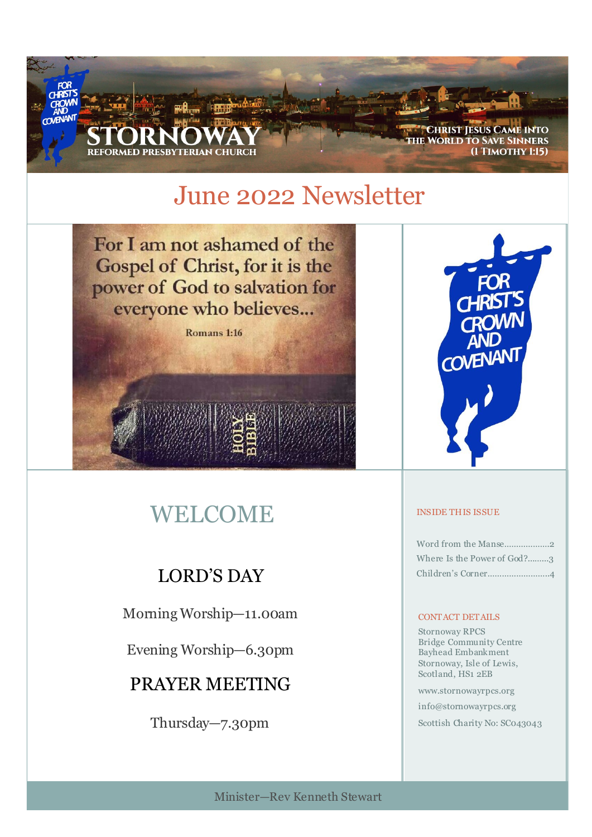

# June 2022 Newsletter

For I am not ashamed of the Gospel of Christ, for it is the power of God to salvation for everyone who believes...

Romans 1:16

# WELCOME

## LORD'S DAY

Morning Worship—11.00am

Evening Worship—6.30pm

## PRAYER MEETING

Thursday—7.30pm



#### INSIDE THIS ISSUE

| Where Is the Power of God?3 |
|-----------------------------|
|                             |

#### CONTACT DETAILS

Stornoway RPCS Bridge Community Centre Bayhead Embankment Stornoway, Isle of Lewis, Scotland, HS1 2EB

www.stornowayrpcs.org

info@stornowayrpcs.org

Scottish Charity No: SC043043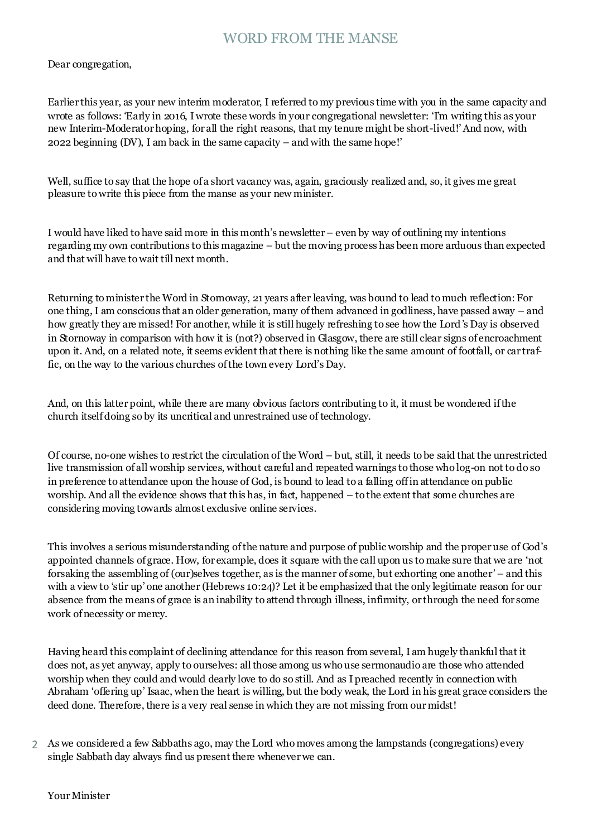### WORD FROM THE MANSE

Dear congregation,

Earlier this year, as your new interim moderator, I referred to my previous time with you in the same capacity and wrote as follows: 'Early in 2016, I wrote these words in your congregational newsletter: 'I'm writing this as your new Interim-Moderator hoping, for all the right reasons, that my tenure might be short-lived!' And now, with 2022 beginning (DV), I am back in the same capacity – and with the same hope!'

Well, suffice to say that the hope of a short vacancy was, again, graciously realized and, so, it gives me great pleasure to write this piece from the manse as your new minister.

I would have liked to have said more in this month's newsletter – even by way of outlining my intentions regarding my own contributions to this magazine – but the moving process has been more arduous than expected and that will have to wait till next month.

Returning to minister the Word in Stornoway, 21 years after leaving, was bound to lead to much reflection: For one thing, I am conscious that an older generation, many of them advanced in godliness, have passed away – and how greatly they are missed! For another, while it is still hugely refreshing to see how the Lord's Day is observed in Stornoway in comparison with how it is (not?) observed in Glasgow, there are still clear signs of encroachment upon it. And, on a related note, it seems evident that there is nothing like the same amount of footfall, or car traffic, on the way to the various churches of the town every Lord's Day.

And, on this latter point, while there are many obvious factors contributing to it, it must be wondered if the church itself doing so by its uncritical and unrestrained use of technology.

Of course, no-one wishes to restrict the circulation of the Word – but, still, it needs to be said that the unrestricted live transmission of all worship services, without careful and repeated warnings to those who log-on not to do so in preference to attendance upon the house of God, is bound to lead to a falling off in attendance on public worship. And all the evidence shows that this has, in fact, happened – to the extent that some churches are considering moving towards almost exclusive online services.

This involves a serious misunderstanding of the nature and purpose of public worship and the proper use of God's appointed channels of grace. How, for example, does it square with the call upon us to make sure that we are 'not forsaking the assembling of (our)selves together, as is the manner of some, but exhorting one another' – and this with a view to 'stir up' one another (Hebrews 10:24)? Let it be emphasized that the only legitimate reason for our absence from the means of grace is an inability to attend through illness, infirmity, or through the need for some work of necessity or mercy.

Having heard this complaint of declining attendance for this reason from several, I am hugely thankful that it does not, as yet anyway, apply to ourselves: all those among us who use sermonaudio are those who attended worship when they could and would dearly love to do so still. And as I preached recently in connection with Abraham 'offering up' Isaac, when the heart is willing, but the body weak, the Lord in his great grace considers the deed done. Therefore, there is a very real sense in which they are not missing from our midst!

As we considered a few Sabbaths ago, may the Lord who moves among the lampstands (congregations) every 2single Sabbath day always find us present there whenever we can.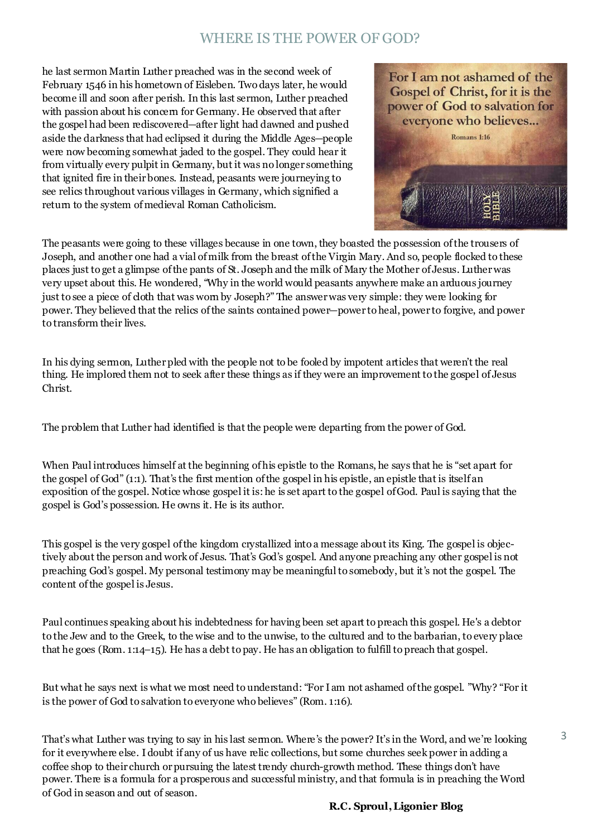### WHERE IS THE POWER OF GOD?

he last sermon Martin Luther preached was in the second week of February 1546 in his hometown of Eisleben. Two days later, he would become ill and soon after perish. In this last sermon, Luther preached with passion about his concern for Germany. He observed that after the gospel had been rediscovered—after light had dawned and pushed aside the darkness that had eclipsed it during the Middle Ages—people were now becoming somewhat jaded to the gospel. They could hear it from virtually every pulpit in Germany, but it was no longer something that ignited fire in their bones. Instead, peasants were journeying to see relics throughout various villages in Germany, which signified a return to the system of medieval Roman Catholicism.



The peasants were going to these villages because in one town, they boasted the possession of the trousers of Joseph, and another one had a vial of milk from the breast of the Virgin Mary. And so, people flocked to these places just to get a glimpse of the pants of St. Joseph and the milk of Mary the Mother of Jesus. Luther was very upset about this. He wondered, "Why in the world would peasants anywhere make an arduous journey just to see a piece of cloth that was worn by Joseph?" The answer was very simple: they were looking for power. They believed that the relics of the saints contained power—power to heal, power to forgive, and power to transform their lives.

In his dying sermon, Luther pled with the people not to be fooled by impotent articles that weren't the real thing. He implored them not to seek after these things as if they were an improvement to the gospel of Jesus Christ.

The problem that Luther had identified is that the people were departing from the power of God.

When Paul introduces himself at the beginning of his epistle to the Romans, he says that he is "set apart for the gospel of God" (1:1). That's the first mention of the gospel in his epistle, an epistle that is itself an exposition of the gospel. Notice whose gospel it is: he is set apart to the gospel ofGod. Paul is saying that the gospel is God's possession. He owns it. He is its author.

This gospel is the very gospel of the kingdom crystallized into a message about its King. The gospel is objectively about the person and work of Jesus. That's God's gospel. And anyone preaching any other gospel is not preaching God's gospel. My personal testimony may be meaningful to somebody, but it's not the gospel. The content of the gospel is Jesus.

Paul continues speaking about his indebtedness for having been set apart to preach this gospel. He's a debtor to the Jew and to the Greek, to the wise and to the unwise, to the cultured and to the barbarian, to every place that he goes ([Rom. 1:14–15\)](https://www.esv.org/Rom.%201%3A14%E2%80%9315/). He has a debt to pay. He has an obligation to fulfill to preach that gospel.

But what he says next is what we most need to understand: "For I am not ashamed of the gospel. "Why? "For it is the power of God to salvation to everyone who believes" [\(Rom. 1:16\).](https://www.esv.org/Rom.%201%3A16/)

That's what Luther was trying to say in his last sermon. Where's the power? It's in the Word, and we're looking for it everywhere else. I doubt if any of us have relic collections, but some churches seek power in adding a coffee shop to their church or pursuing the latest trendy church-growth method. These things don't have power. There is a formula for a prosperous and successful ministry, and that formula is in preaching the Word of God in season and out of season.

3